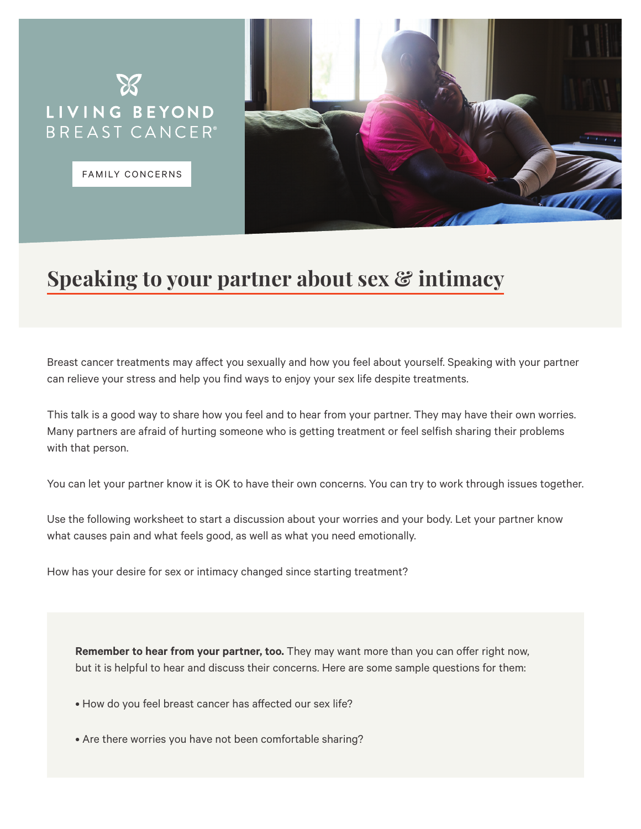

FAMILY CONCERNS

**Speaking to your partner about sex & intimacy**

Breast cancer treatments may affect you sexually and how you feel about yourself. Speaking with your partner can relieve your stress and help you find ways to enjoy your sex life despite treatments.

This talk is a good way to share how you feel and to hear from your partner. They may have their own worries. Many partners are afraid of hurting someone who is getting treatment or feel selfish sharing their problems with that person.

You can let your partner know it is OK to have their own concerns. You can try to work through issues together.

Use the following worksheet to start a discussion about your worries and your body. Let your partner know what causes pain and what feels good, as well as what you need emotionally.

How has your desire for sex or intimacy changed since starting treatment?

**Remember to hear from your partner, too.** They may want more than you can offer right now, but it is helpful to hear and discuss their concerns. Here are some sample questions for them:

- How do you feel breast cancer has affected our sex life?
- Are there worries you have not been comfortable sharing?